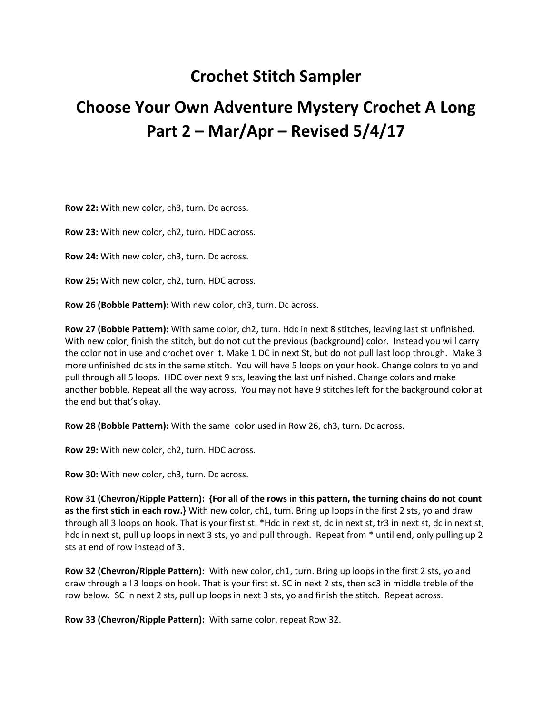## **Crochet Stitch Sampler**

## **Choose Your Own Adventure Mystery Crochet A Long Part 2 – Mar/Apr – Revised 5/4/17**

**Row 22:** With new color, ch3, turn. Dc across.

**Row 23:** With new color, ch2, turn. HDC across.

**Row 24:** With new color, ch3, turn. Dc across.

**Row 25:** With new color, ch2, turn. HDC across.

**Row 26 (Bobble Pattern):** With new color, ch3, turn. Dc across.

**Row 27 (Bobble Pattern):** With same color, ch2, turn. Hdc in next 8 stitches, leaving last st unfinished. With new color, finish the stitch, but do not cut the previous (background) color. Instead you will carry the color not in use and crochet over it. Make 1 DC in next St, but do not pull last loop through. Make 3 more unfinished dc sts in the same stitch. You will have 5 loops on your hook. Change colors to yo and pull through all 5 loops. HDC over next 9 sts, leaving the last unfinished. Change colors and make another bobble. Repeat all the way across. You may not have 9 stitches left for the background color at the end but that's okay.

**Row 28 (Bobble Pattern):** With the same color used in Row 26, ch3, turn. Dc across.

**Row 29:** With new color, ch2, turn. HDC across.

**Row 30:** With new color, ch3, turn. Dc across.

**Row 31 (Chevron/Ripple Pattern): {For all of the rows in this pattern, the turning chains do not count as the first stich in each row.}** With new color, ch1, turn. Bring up loops in the first 2 sts, yo and draw through all 3 loops on hook. That is your first st. \*Hdc in next st, dc in next st, tr3 in next st, dc in next st, hdc in next st, pull up loops in next 3 sts, yo and pull through. Repeat from \* until end, only pulling up 2 sts at end of row instead of 3.

**Row 32 (Chevron/Ripple Pattern):** With new color, ch1, turn. Bring up loops in the first 2 sts, yo and draw through all 3 loops on hook. That is your first st. SC in next 2 sts, then sc3 in middle treble of the row below. SC in next 2 sts, pull up loops in next 3 sts, yo and finish the stitch. Repeat across.

**Row 33 (Chevron/Ripple Pattern):** With same color, repeat Row 32.